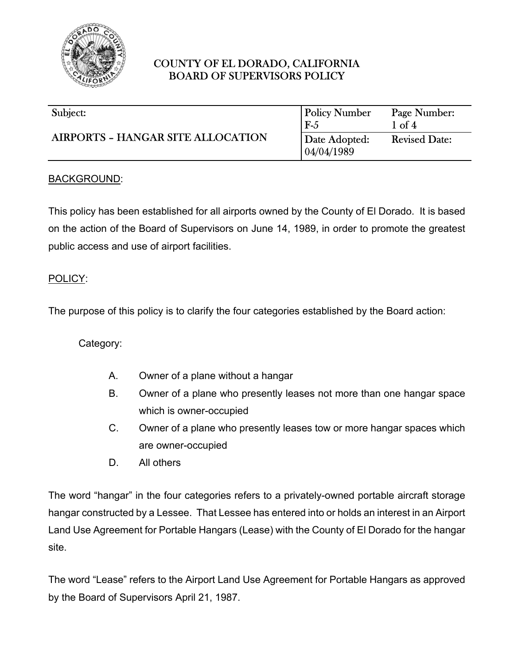

| Subject:                                 | <b>Policy Number</b>         | Page Number:         |
|------------------------------------------|------------------------------|----------------------|
| <b>AIRPORTS - HANGAR SITE ALLOCATION</b> | $F-5$                        | $1$ of $4$           |
|                                          | Date Adopted:<br> 04/04/1989 | <b>Revised Date:</b> |

#### BACKGROUND:

This policy has been established for all airports owned by the County of El Dorado. It is based on the action of the Board of Supervisors on June 14, 1989, in order to promote the greatest public access and use of airport facilities.

#### POLICY:

The purpose of this policy is to clarify the four categories established by the Board action:

Category:

- A. Owner of a plane without a hangar
- B. Owner of a plane who presently leases not more than one hangar space which is owner-occupied
- C. Owner of a plane who presently leases tow or more hangar spaces which are owner-occupied
- D. All others

The word "hangar" in the four categories refers to a privately-owned portable aircraft storage hangar constructed by a Lessee. That Lessee has entered into or holds an interest in an Airport Land Use Agreement for Portable Hangars (Lease) with the County of El Dorado for the hangar site.

The word "Lease" refers to the Airport Land Use Agreement for Portable Hangars as approved by the Board of Supervisors April 21, 1987.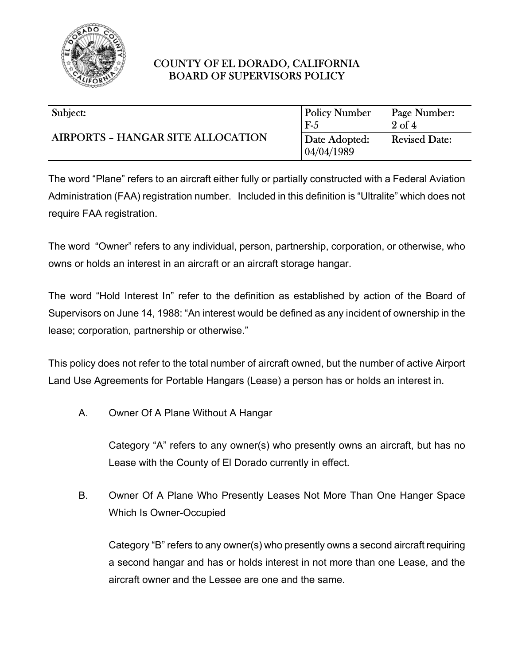

| Subject:                                 | <b>Policy Number</b>        | Page Number:         |
|------------------------------------------|-----------------------------|----------------------|
| <b>AIRPORTS - HANGAR SITE ALLOCATION</b> | $F-5$                       | $2 \text{ of } 4$    |
|                                          | Date Adopted:<br>04/04/1989 | <b>Revised Date:</b> |

The word "Plane" refers to an aircraft either fully or partially constructed with a Federal Aviation Administration (FAA) registration number. Included in this definition is "Ultralite" which does not require FAA registration.

The word "Owner" refers to any individual, person, partnership, corporation, or otherwise, who owns or holds an interest in an aircraft or an aircraft storage hangar.

The word "Hold Interest In" refer to the definition as established by action of the Board of Supervisors on June 14, 1988: "An interest would be defined as any incident of ownership in the lease; corporation, partnership or otherwise."

This policy does not refer to the total number of aircraft owned, but the number of active Airport Land Use Agreements for Portable Hangars (Lease) a person has or holds an interest in.

A. Owner Of A Plane Without A Hangar

Category "A" refers to any owner(s) who presently owns an aircraft, but has no Lease with the County of El Dorado currently in effect.

B. Owner Of A Plane Who Presently Leases Not More Than One Hanger Space Which Is Owner-Occupied

Category "B" refers to any owner(s) who presently owns a second aircraft requiring a second hangar and has or holds interest in not more than one Lease, and the aircraft owner and the Lessee are one and the same.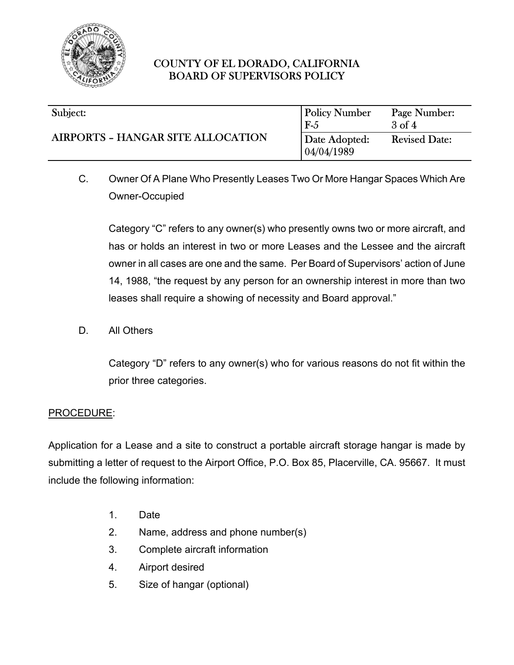

#### $\overline{\phantom{a}}$ Subject:

# AIRPORTS – HANGAR SITE ALLOCATION

| <b>Policy Number</b>         | Page Number:         |
|------------------------------|----------------------|
| $F-5$                        | $3$ of $4$           |
| Date Adopted:<br>104/04/1989 | <b>Revised Date:</b> |

C. Owner Of A Plane Who Presently Leases Two Or More Hangar Spaces Which Are Owner-Occupied

Category "C" refers to any owner(s) who presently owns two or more aircraft, and has or holds an interest in two or more Leases and the Lessee and the aircraft owner in all cases are one and the same. Per Board of Supervisors' action of June 14, 1988, "the request by any person for an ownership interest in more than two leases shall require a showing of necessity and Board approval."

D. All Others

Category "D" refers to any owner(s) who for various reasons do not fit within the prior three categories.

#### PROCEDURE:

Application for a Lease and a site to construct a portable aircraft storage hangar is made by submitting a letter of request to the Airport Office, P.O. Box 85, Placerville, CA. 95667. It must include the following information:

- 1. Date
- 2. Name, address and phone number(s)
- 3. Complete aircraft information
- 4. Airport desired
- 5. Size of hangar (optional)